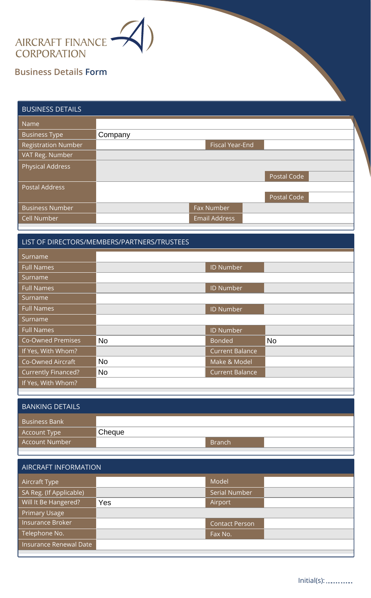

## **Business Details Form**

| <b>BUSINESS DETAILS</b>    |                      |  |  |  |  |
|----------------------------|----------------------|--|--|--|--|
| Name                       |                      |  |  |  |  |
| <b>Business Type</b>       | Company              |  |  |  |  |
| <b>Registration Number</b> | Fiscal Year-End      |  |  |  |  |
| VAT Reg. Number            |                      |  |  |  |  |
| Physical Address           |                      |  |  |  |  |
|                            | Postal Code          |  |  |  |  |
| <b>Postal Address</b>      |                      |  |  |  |  |
|                            | Postal Code          |  |  |  |  |
| <b>Business Number</b>     | Fax Number           |  |  |  |  |
| Cell Number                | <b>Email Address</b> |  |  |  |  |

## LIST OF DIRECTORS/MEMBERS/PARTNERS/TRUSTEES Surname Full Names Surname ID Number

| <b>Full Names</b>           |           | <b>ID Number</b>       |           |
|-----------------------------|-----------|------------------------|-----------|
| Surname                     |           |                        |           |
| <b>Full Names</b>           |           | <b>ID Number</b>       |           |
| Surname                     |           |                        |           |
| <b>Full Names</b>           |           | ID Number              |           |
| Co-Owned Premises           | <b>No</b> | <b>Bonded</b>          | <b>No</b> |
| If Yes, With Whom?          |           | Current Balance        |           |
| Co-Owned Aircraft           | <b>No</b> | Make & Model           |           |
| Currently Financed?         | <b>No</b> | <b>Current Balance</b> |           |
| If Yes, With Whom?          |           |                        |           |
|                             |           |                        |           |
|                             |           |                        |           |
| <b>BANKING DETAILS</b>      |           |                        |           |
| <b>Business Bank</b>        |           |                        |           |
| <b>Account Type</b>         | Cheque    |                        |           |
| <b>Account Number</b>       |           | <b>Branch</b>          |           |
|                             |           |                        |           |
| <b>AIRCRAFT INFORMATION</b> |           |                        |           |
| Aircraft Type               |           | Model                  |           |
| SA Reg. (If Applicable)     |           | Serial Number          |           |

## BANKING DETAILS

| <b>Business Bank</b>  |               |
|-----------------------|---------------|
| Account Type          | Cheque        |
| <b>Account Number</b> | <b>Branch</b> |

### AIRCRAFT INFORMATION

| Aircraft Type           |     | Model                 |  |
|-------------------------|-----|-----------------------|--|
| SA Reg. (If Applicable) |     | Serial Number         |  |
| Will It Be Hangered?    | Yes | Airport               |  |
| <b>Primary Usage</b>    |     |                       |  |
| Insurance Broker        |     | <b>Contact Person</b> |  |
| Telephone No.           |     | Fax No.               |  |
| Insurance Renewal Date  |     |                       |  |